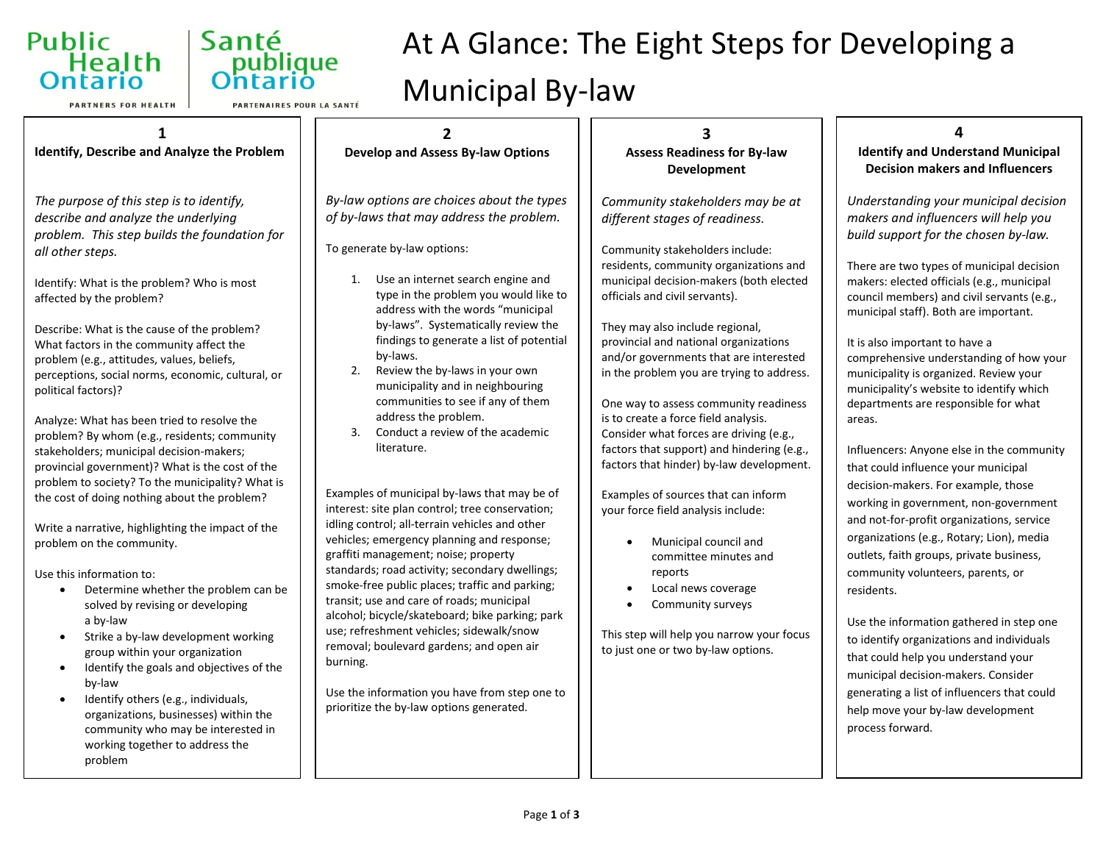



**PARTNERS FOR HEALTH** 

PARTENAIRES POUR LA SANTÉ

#### **2** by-laws. literature. **1 Identify, Describe and Analyze the Problem** *The purpose of this step is to identify, describe and analyze the underlying problem. This step builds the foundation for all other steps.* Identify: What is the problem? Who is most affected by the problem? Describe: What is the cause of the problem? What factors in the community affect the problem (e.g., attitudes, values, beliefs, perceptions, social norms, economic, cultural, or political factors)? Analyze: What has been tried to resolve the problem? By whom (e.g., residents; community stakeholders; municipal decision-makers; provincial government)? What is the cost of the problem to society? To the municipality? What is the cost of doing nothing about the problem? Write a narrative, highlighting the impact of the problem on the community. Use this information to: • Determine whether the problem can be solved by revising or developing a by-law • Strike a by-law development working group within your organization

- Identify the goals and objectives of the by-law
- Identify others (e.g., individuals, organizations, businesses) within the community who may be interested in working together to address the problem

#### **Develop and Assess By-law Options**

Municipal By-law

*By-law options are choices about the types of by-laws that may address the problem.*

To generate by-law options:

- 1. Use an internet search engine and type in the problem you would like to address with the words "municipal by-laws". Systematically review the findings to generate a list of potential
- 2. Review the by-laws in your own municipality and in neighbouring communities to see if any of them address the problem.
- 3. Conduct a review of the academic

Examples of municipal by-laws that may be of interest: site plan control; tree conservation; idling control; all-terrain vehicles and other vehicles; emergency planning and response; graffiti management; noise; property standards; road activity; secondary dwellings; smoke-free public places; traffic and parking; transit; use and care of roads; municipal alcohol; bicycle/skateboard; bike parking; park use; refreshment vehicles; sidewalk/snow removal; boulevard gardens; and open air burning.

Use the information you have from step one to prioritize the by-law options generated.

#### **3 Assess Readiness for By-law Development**

At A Glance: The Eight Steps for Developing a

*Community stakeholders may be at different stages of readiness.*

Community stakeholders include: residents, community organizations and municipal decision-makers (both elected officials and civil servants).

They may also include regional, provincial and national organizations and/or governments that are interested in the problem you are trying to address.

One way to assess community readiness is to create a force field analysis. Consider what forces are driving (e.g., factors that support) and hindering (e.g., factors that hinder) by-law development.

Examples of sources that can inform your force field analysis include:

- Municipal council and committee minutes and reports
- Local news coverage
- Community surveys

This step will help you narrow your focus to just one or two by-law options.

# **4**

**Identify and Understand Municipal Decision makers and Influencers**

*Understanding your municipal decision makers and influencers will help you build support for the chosen by-law.*

There are two types of municipal decision makers: elected officials (e.g., municipal council members) and civil servants (e.g., municipal staff). Both are important.

It is also important to have a comprehensive understanding of how your municipality is organized. Review your municipality's website to identify which departments are responsible for what areas.

Influencers: Anyone else in the community that could influence your municipal decision-makers. For example, those working in government, non-government and not-for-profit organizations, service organizations (e.g., Rotary; Lion), media outlets, faith groups, private business, community volunteers, parents, or residents.

Use the information gathered in step one to identify organizations and individuals that could help you understand your municipal decision-makers. Consider generating a list of influencers that could help move your by-law development process forward.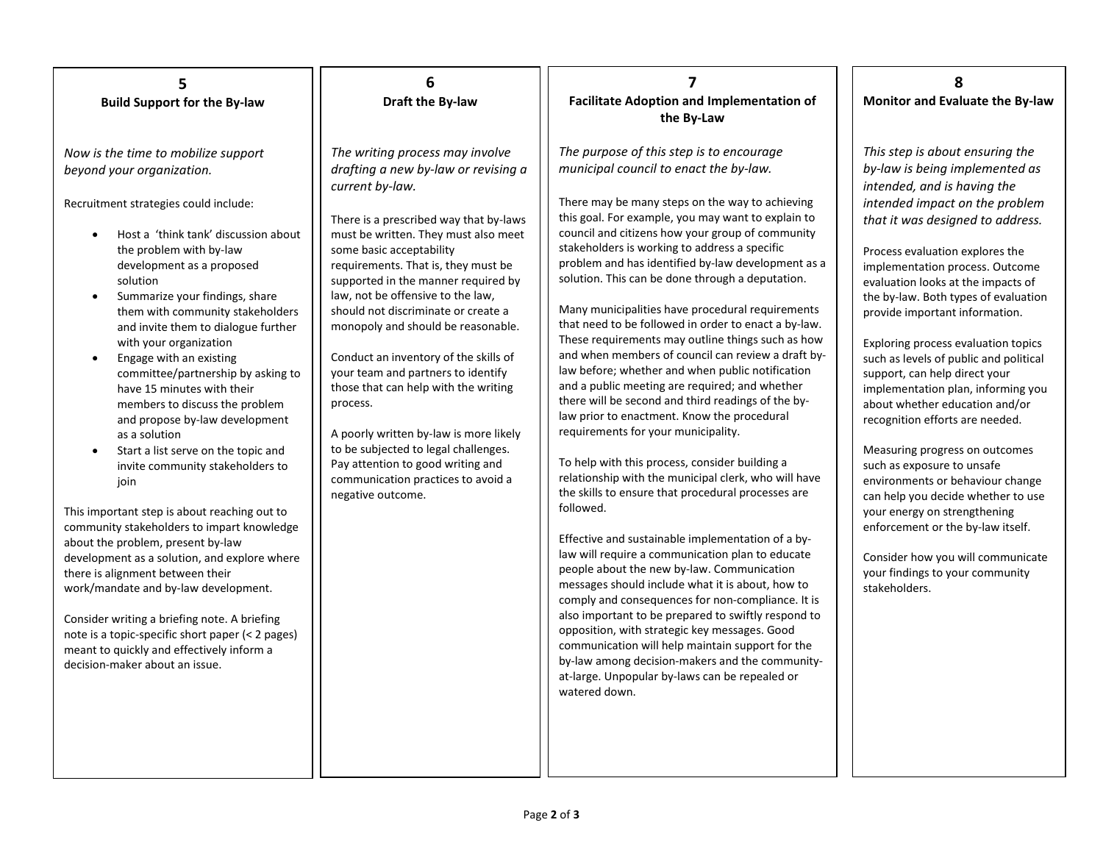#### **5 Build Support for the By-law**

*Now is the time to mobilize support beyond your organization.*

Recruitment strategies could include:

- Host a 'think tank' discussion about the problem with by-law development as a proposed solution
- Summarize your findings, share them with community stakeholders and invite them to dialogue further with your organization
- Engage with an existing committee/partnership by asking to have 15 minutes with their members to discuss the problem and propose by-law development as a solution
- Start a list serve on the topic and invite community stakeholders to join

This important step is about reaching out to community stakeholders to impart knowledge about the problem, present by-law development as a solution, and explore where there is alignment between their work/mandate and by-law development.

Consider writing a briefing note. A briefing note is a topic-specific short paper (< 2 pages) meant to quickly and effectively inform a decision-maker about an issue.

#### **6 Draft the By-law**

*The writing process may involve drafting a new by-law or revising a current by-law.*

There is a prescribed way that by-laws must be written. They must also meet some basic acceptability requirements. That is, they must be supported in the manner required by law, not be offensive to the law, should not discriminate or create a monopoly and should be reasonable.

Conduct an inventory of the skills of your team and partners to identify those that can help with the writing process.

A poorly written by-law is more likely to be subjected to legal challenges. Pay attention to good writing and communication practices to avoid a negative outcome.

#### **7 Facilitate Adoption and Implementation of the By-Law**

*The purpose of this step is to encourage municipal council to enact the by-law.*

There may be many steps on the way to achieving this goal. For example, you may want to explain to council and citizens how your group of community stakeholders is working to address a specific problem and has identified by-law development as a solution. This can be done through a deputation.

Many municipalities have procedural requirements that need to be followed in order to enact a by-law. These requirements may outline things such as how and when members of council can review a draft bylaw before; whether and when public notification and a public meeting are required; and whether there will be second and third readings of the bylaw prior to enactment. Know the procedural requirements for your municipality.

To help with this process, consider building a relationship with the municipal clerk, who will have the skills to ensure that procedural processes are followed.

Effective and sustainable implementation of a bylaw will require a communication plan to educate people about the new by-law. Communication messages should include what it is about, how to comply and consequences for non-compliance. It is also important to be prepared to swiftly respond to opposition, with strategic key messages. Good communication will help maintain support for the by-law among decision-makers and the communityat-large. Unpopular by-laws can be repealed or watered down.

#### **8 Monitor and Evaluate the By-law**

*This step is about ensuring the by-law is being implemented as intended, and is having the intended impact on the problem that it was designed to address.*

Process evaluation explores the implementation process. Outcome evaluation looks at the impacts of the by-law. Both types of evaluation provide important information.

Exploring process evaluation topics such as levels of public and political support, can help direct your implementation plan, informing you about whether education and/or recognition efforts are needed.

Measuring progress on outcomes such as exposure to unsafe environments or behaviour change can help you decide whether to use your energy on strengthening enforcement or the by-law itself.

Consider how you will communicate your findings to your community stakeholders.